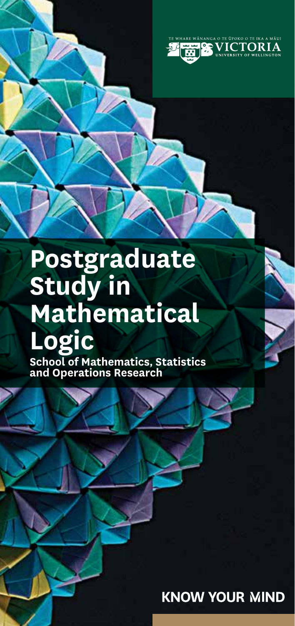

# **Postgraduate Study in Mathematical Logic**

**School of Mathematics, Statistics and Operations Research**

**KNOW YOUR MIND** 

- 1 -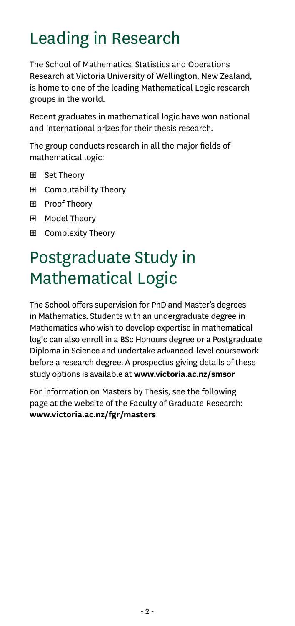# Leading in Research

The School of Mathematics, Statistics and Operations Research at Victoria University of Wellington, New Zealand, is home to one of the leading Mathematical Logic research groups in the world.

Recent graduates in mathematical logic have won national and international prizes for their thesis research.

The group conducts research in all the major fields of mathematical logic:

- ͞ Set Theory
- ͞ Computability Theory
- ͞ Proof Theory
- ͞ Model Theory
- ͞ Complexity Theory

## Postgraduate Study in Mathematical Logic

The School offers supervision for PhD and Master's degrees in Mathematics. Students with an undergraduate degree in Mathematics who wish to develop expertise in mathematical logic can also enroll in a BSc Honours degree or a Postgraduate Diploma in Science and undertake advanced-level coursework before a research degree. A prospectus giving details of these study options is available at **www.victoria.ac.nz/smsor**

For information on Masters by Thesis, see the following page at the website of the Faculty of Graduate Research: **www.victoria.ac.nz/fgr/masters**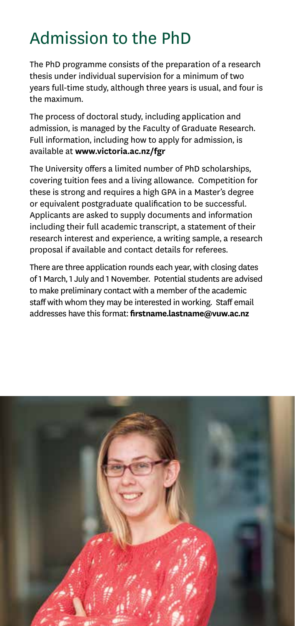## Admission to the PhD

The PhD programme consists of the preparation of a research thesis under individual supervision for a minimum of two years full-time study, although three years is usual, and four is the maximum.

The process of doctoral study, including application and admission, is managed by the Faculty of Graduate Research. Full information, including how to apply for admission, is available at **www.victoria.ac.nz/fgr**

The University offers a limited number of PhD scholarships, covering tuition fees and a living allowance. Competition for these is strong and requires a high GPA in a Master's degree or equivalent postgraduate qualification to be successful. Applicants are asked to supply documents and information including their full academic transcript, a statement of their research interest and experience, a writing sample, a research proposal if available and contact details for referees.

There are three application rounds each year, with closing dates of 1 March, 1 July and 1 November. Potential students are advised to make preliminary contact with a member of the academic staff with whom they may be interested in working. Staff email addresses have this format: **firstname.lastname@vuw.ac.nz**

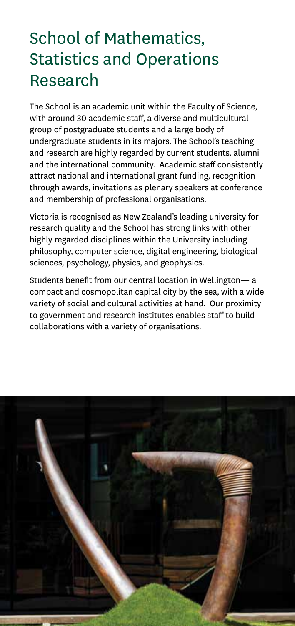## School of Mathematics, Statistics and Operations Research

The School is an academic unit within the Faculty of Science, with around 30 academic staff, a diverse and multicultural group of postgraduate students and a large body of undergraduate students in its majors. The School's teaching and research are highly regarded by current students, alumni and the international community. Academic staff consistently attract national and international grant funding, recognition through awards, invitations as plenary speakers at conference and membership of professional organisations.

Victoria is recognised as New Zealand's leading university for research quality and the School has strong links with other highly regarded disciplines within the University including philosophy, computer science, digital engineering, biological sciences, psychology, physics, and geophysics.

Students benefit from our central location in Wellington— a compact and cosmopolitan capital city by the sea, with a wide variety of social and cultural activities at hand. Our proximity to government and research institutes enables staff to build collaborations with a variety of organisations.

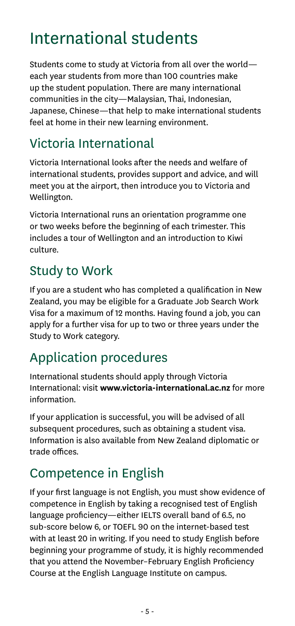### International students

Students come to study at Victoria from all over the world each year students from more than 100 countries make up the student population. There are many international communities in the city—Malaysian, Thai, Indonesian, Japanese, Chinese—that help to make international students feel at home in their new learning environment.

### Victoria International

Victoria International looks after the needs and welfare of international students, provides support and advice, and will meet you at the airport, then introduce you to Victoria and Wellington.

Victoria International runs an orientation programme one or two weeks before the beginning of each trimester. This includes a tour of Wellington and an introduction to Kiwi culture.

### Study to Work

If you are a student who has completed a qualification in New Zealand, you may be eligible for a Graduate Job Search Work Visa for a maximum of 12 months. Having found a job, you can apply for a further visa for up to two or three years under the Study to Work category.

### Application procedures

International students should apply through Victoria International: visit **www.victoria-international.ac.nz** for more information.

If your application is successful, you will be advised of all subsequent procedures, such as obtaining a student visa. Information is also available from New Zealand diplomatic or trade offices.

### Competence in English

If your first language is not English, you must show evidence of competence in English by taking a recognised test of English language proficiency—either IELTS overall band of 6.5, no sub-score below 6, or TOEFL 90 on the internet-based test with at least 20 in writing. If you need to study English before beginning your programme of study, it is highly recommended that you attend the November–February English Proficiency Course at the English Language Institute on campus.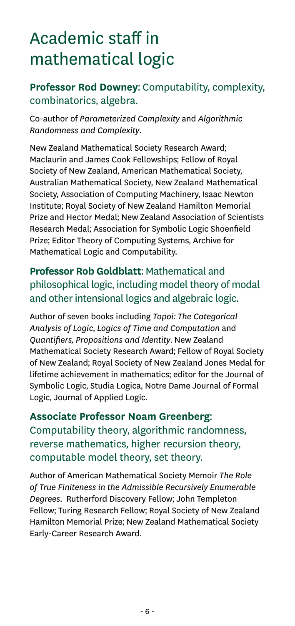# Academic staff in mathematical logic

#### **Professor Rod Downey**: Computability, complexity, combinatorics, algebra.

Co-author of *Parameterized Complexity* and *Algorithmic Randomness and Complexity*.

New Zealand Mathematical Society Research Award; Maclaurin and James Cook Fellowships; Fellow of Royal Society of New Zealand, American Mathematical Society, Australian Mathematical Society, New Zealand Mathematical Society, Association of Computing Machinery, Isaac Newton Institute; Royal Society of New Zealand Hamilton Memorial Prize and Hector Medal; New Zealand Association of Scientists Research Medal; Association for Symbolic Logic Shoenfield Prize; Editor Theory of Computing Systems, Archive for Mathematical Logic and Computability.

#### **Professor Rob Goldblatt**: Mathematical and philosophical logic, including model theory of modal and other intensional logics and algebraic logic.

Author of seven books including *Topoi: The Categorical Analysis of Logic*, *Logics of Time and Computation* and *Quantifiers, Propositions and Identity*. New Zealand Mathematical Society Research Award; Fellow of Royal Society of New Zealand; Royal Society of New Zealand Jones Medal for lifetime achievement in mathematics; editor for the Journal of Symbolic Logic, Studia Logica, Notre Dame Journal of Formal Logic, Journal of Applied Logic.

**Associate Professor Noam Greenberg**: Computability theory, algorithmic randomness, reverse mathematics, higher recursion theory, computable model theory, set theory.

Author of American Mathematical Society Memoir *The Role of True Finiteness in the Admissible Recursively Enumerable Degrees*. Rutherford Discovery Fellow; John Templeton Fellow; Turing Research Fellow; Royal Society of New Zealand Hamilton Memorial Prize; New Zealand Mathematical Society Early-Career Research Award.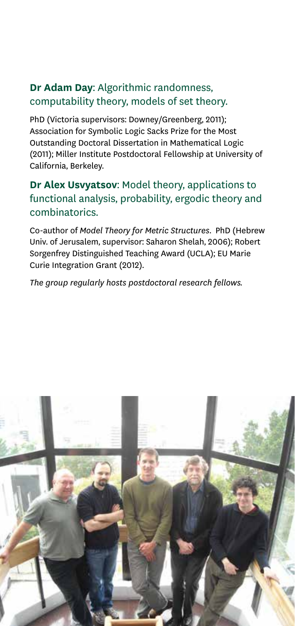#### **Dr Adam Day**: Algorithmic randomness, computability theory, models of set theory.

PhD (Victoria supervisors: Downey/Greenberg, 2011); Association for Symbolic Logic Sacks Prize for the Most Outstanding Doctoral Dissertation in Mathematical Logic (2011); Miller Institute Postdoctoral Fellowship at University of California, Berkeley.

#### **Dr Alex Usvyatsov**: Model theory, applications to functional analysis, probability, ergodic theory and combinatorics.

Co-author of *Model Theory for Metric Structures*. PhD (Hebrew Univ. of Jerusalem, supervisor: Saharon Shelah, 2006); Robert Sorgenfrey Distinguished Teaching Award (UCLA); EU Marie Curie Integration Grant (2012).

*The group regularly hosts postdoctoral research fellows.*